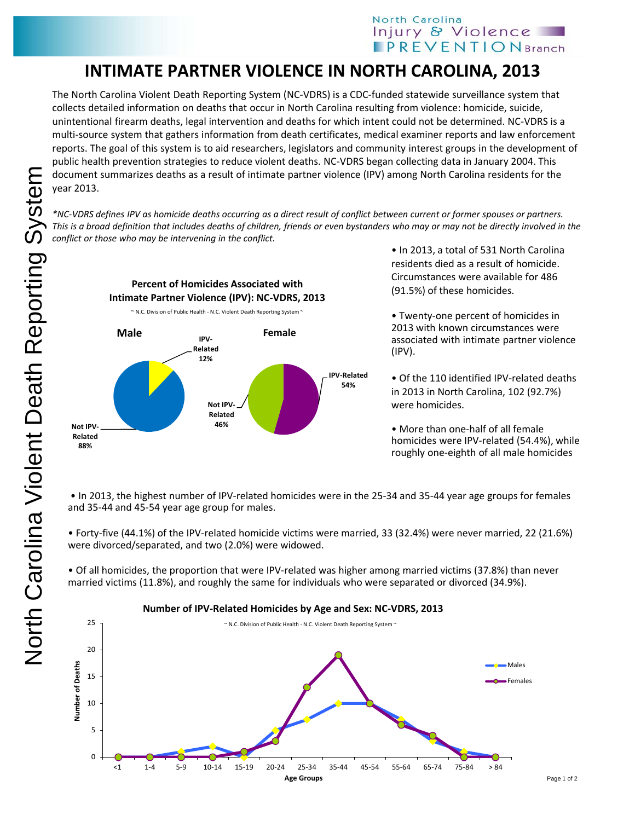## **INTIMATE PARTNER VIOLENCE IN NORTH CAROLINA, 2013**

The North Carolina Violent Death Reporting System (NC-VDRS) is a CDC-funded statewide surveillance system that collects detailed information on deaths that occur in North Carolina resulting from violence: homicide, suicide, unintentional firearm deaths, legal intervention and deaths for which intent could not be determined. NC-VDRS is a multi-source system that gathers information from death certificates, medical examiner reports and law enforcement reports. The goal of this system is to aid researchers, legislators and community interest groups in the development of public health prevention strategies to reduce violent deaths. NC-VDRS began collecting data in January 2004. This document summarizes deaths as a result of intimate partner violence (IPV) among North Carolina residents for the year 2013.

*\*NC-VDRS defines IPV as homicide deaths occurring as a direct result of conflict between current or former spouses or partners. This is a broad definition that includes deaths of children, friends or even bystanders who may or may not be directly involved in the conflict or those who may be intervening in the conflict.* 

**Percent of Homicides Associated with Intimate Partner Violence (IPV): NC-VDRS, 2013 Male IPV Related 12% Not IPV-Related 88% IPV-Related 54% Not IPV-Related 46% Female** ~ N.C. Division of Public Health - N.C. Violent Death Reporting System ~

• In 2013, a total of 531 North Carolina residents died as a result of homicide. Circumstances were available for 486 (91.5%) of these homicides.

• Twenty-one percent of homicides in 2013 with known circumstances were associated with intimate partner violence (IPV).

• Of the 110 identified IPV-related deaths in 2013 in North Carolina, 102 (92.7%) were homicides.

• More than one-half of all female homicides were IPV-related (54.4%), while roughly one-eighth of all male homicides

• In 2013, the highest number of IPV-related homicides were in the 25-34 and 35-44 year age groups for females and 35-44 and 45-54 year age group for males.

• Forty-five (44.1%) of the IPV-related homicide victims were married, 33 (32.4%) were never married, 22 (21.6%) were divorced/separated, and two (2.0%) were widowed.

• Of all homicides, the proportion that were IPV-related was higher among married victims (37.8%) than never married victims (11.8%), and roughly the same for individuals who were separated or divorced (34.9%).